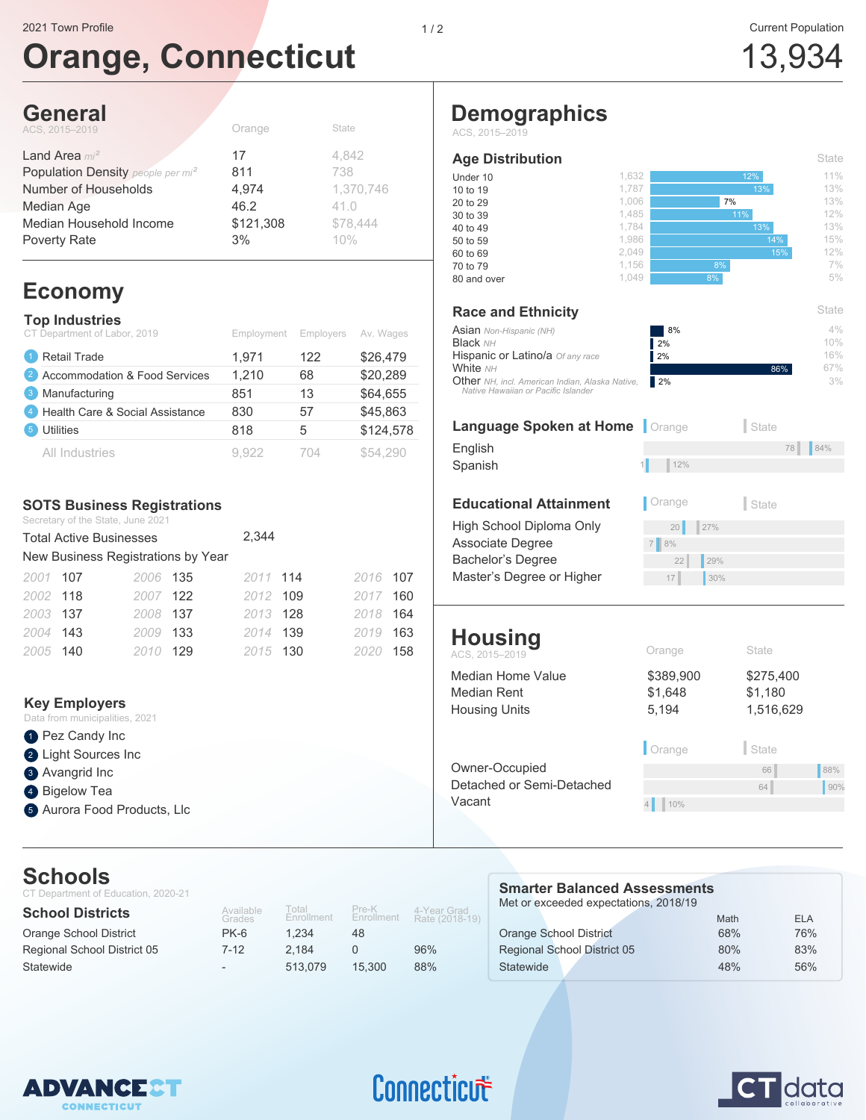# **Orange, Connecticut**

 $C_{total}$ 

## **General**

| Orange    | <b>State</b> |
|-----------|--------------|
| 17        | 4.842        |
| 811       | 738          |
| 4,974     | 1,370,746    |
| 46.2      | 41.0         |
| \$121,308 | \$78,444     |
| 3%        | 10%          |
|           |              |

## **Economy**

|                | <b>Top Industries</b><br>CT Department of Labor, 2019 | Employment | Employers | Av. Wages |
|----------------|-------------------------------------------------------|------------|-----------|-----------|
|                | Retail Trade                                          | 1,971      | 122       | \$26,479  |
| $\vert$ 2      | Accommodation & Food Services                         | 1,210      | 68        | \$20,289  |
| 3              | Manufacturing                                         | 851        | 13        | \$64,655  |
| $\overline{4}$ | Health Care & Social Assistance                       | 830        | 57        | \$45,863  |
| 5              | <b>Utilities</b>                                      | 818        | 5         | \$124,578 |
|                | All Industries                                        | 9.922      | 704       | \$54,290  |

#### **SOTS Business Registrations**

Secretary of the State, June 2021

|          | <b>Total Active Businesses</b>     |          |     | 2,344    |          |     |
|----------|------------------------------------|----------|-----|----------|----------|-----|
|          | New Business Registrations by Year |          |     |          |          |     |
| 2001 107 |                                    | 2006 135 |     | 2011 114 | 2016 107 |     |
| 2002 118 |                                    | 2007 122 |     | 2012 109 | 2017     | 160 |
| 2003 137 |                                    | 2008 137 |     | 2013 128 | 2018     | 164 |
| 2004 143 |                                    | 2009     | 133 | 2014 139 | 2019     | 163 |
| 2005 140 |                                    | 2010     | 129 | 2015 130 | 2020     | 158 |

#### **Key Employers**

| Data from municipalities, 2021 |
|--------------------------------|
| <b>O</b> Pez Candy Inc         |
| 2 Light Sources Inc            |
| <b>3</b> Avangrid Inc          |
| 4 Bigelow Tea                  |
| 5 Aurora Food Products, Llc    |

## **Schools**

| UUI IUUI J<br>CT Department of Education, 2020-21 |                          |                     |                     |                               | <b>Smarter Balanced Assessments</b>   |      |            |
|---------------------------------------------------|--------------------------|---------------------|---------------------|-------------------------------|---------------------------------------|------|------------|
| <b>School Districts</b>                           | Available<br>Grades      | Total<br>Enrollment | Pre-K<br>Enrollment | 4-Year Grad<br>Rate (2018-19) | Met or exceeded expectations, 2018/19 | Math | <b>ELA</b> |
| Orange School District                            | $PK-6$                   | 1.234               | 48                  |                               | Orange School District                | 68%  | 76%        |
| Regional School District 05                       | 7-12                     | 2.184               | 0                   | 96%                           | <b>Regional School District 05</b>    | 80%  | 83%        |
| Statewide                                         | $\overline{\phantom{0}}$ | 513.079             | 15.300              | 88%                           | Statewide                             | 48%  | 56%        |



## Connecticut

# **CT** data

## **Demographics**

ACS, 2015–2019

#### **Age Distribution**

| <u>Aye Distribution</u>                                                                       |       |                                                    | ◡いい              |
|-----------------------------------------------------------------------------------------------|-------|----------------------------------------------------|------------------|
| Under 10                                                                                      | 1,632 | 12%                                                | 11%              |
| 10 to 19                                                                                      | 1,787 | 13%                                                | 13%              |
| 20 to 29                                                                                      | 1,006 | 7%                                                 | 13%              |
| 30 to 39                                                                                      | 1,485 | 11%                                                | 12%              |
| 40 to 49                                                                                      | 1.784 | 13%                                                | 13%              |
| 50 to 59                                                                                      | 1,986 | 14%                                                | 15%              |
| 60 to 69                                                                                      | 2,049 |                                                    | 12%<br>15%       |
| 70 to 79                                                                                      | 1,156 | 8%                                                 | 7%               |
| 80 and over                                                                                   | 1,049 | 8%                                                 | 5%               |
| <b>Race and Ethnicity</b>                                                                     |       |                                                    | State            |
| <b>Asian</b> Non-Hispanic (NH)<br><b>Black NH</b><br>Hispanic or Latino/a Of any race         |       | 8%<br>2%<br>2%                                     | 4%<br>10%<br>16% |
| White NH                                                                                      |       |                                                    | 67%<br>86%       |
| <b>Other</b> NH, incl. American Indian, Alaska Native,<br>Native Hawaiian or Pacific Islander |       | 2%                                                 | 3%               |
| Language Caskan of Hama                                                                       |       | - اصدا<br>$\bigcap_{n\in\mathbb{N}}\mathbb{Z}_{n}$ |                  |

### **Language Spoken at Home** | Orange | State

Spanish

#### **Educational Attainment** | Orange | State

Associate Degree Bachelor's Degree Master's Degree or Higher

#### **Housing** ACS, 2015–2019 **Contract Contract Contract Contract Contract Contract Contract Contract Contract Contract Contract Contract Contract Contract Contract Contract Contract Contract Contract Contract Contract Contract Contract**

| Median Home Value<br>Median Rent<br><b>Housing Units</b> | \$389,900<br>\$1,648<br>5,194 | \$275,400<br>\$1,180<br>1,516,629 |     |
|----------------------------------------------------------|-------------------------------|-----------------------------------|-----|
|                                                          | Orange                        | State                             |     |
| Owner-Occupied                                           |                               | 66                                | 88% |
| Detached or Semi-Detached                                |                               | 64                                | 90% |
| Vacant                                                   | 10%                           |                                   |     |
|                                                          |                               |                                   |     |

 $17$  30%